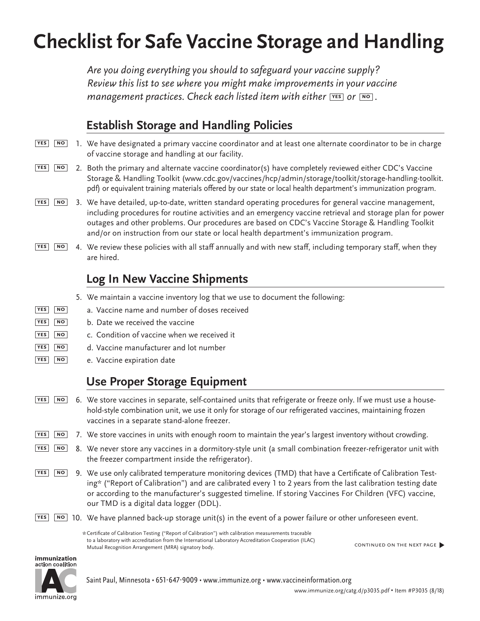# **Checklist for Safe Vaccine Storage and Handling**

*Are you doing everything you should to safeguard your vaccine supply? Review this list to see where you might make improvements in your vaccine management practices. Check each listed item with either* **PRES** or **NO**.

# **Establish Storage and Handling Policies**

- 1. We have designated a primary vaccine coordinator and at least one alternate coordinator to be in charge of vaccine storage and handling at our facility. **yes no**
- 2. Both the primary and alternate vaccine coordinator(s) have completely reviewed either CDC's Vaccine Storage & Handling Toolkit ([www.cdc.gov/vaccines/hcp/admin/storage/toolkit/storage-handling-toolkit.](http://www.cdc.gov/vaccines/hcp/admin/storage/toolkit/storage-handling-toolkit.pdf) [pdf](http://www.cdc.gov/vaccines/hcp/admin/storage/toolkit/storage-handling-toolkit.pdf)) or equivalent training materials offered by our state or local health department's immunization program. **yes no**
- 3. We have detailed, up-to-date, written standard operating procedures for general vaccine management, including procedures for routine activities and an emergency vaccine retrieval and storage plan for power outages and other problems. Our procedures are based on CDC's Vaccine Storage & Handling Toolkit and/or on instruction from our state or local health department's immunization program. **yes no**
- 4. We review these policies with all staff annually and with new staff, including temporary staff, when they **yes no** are hired.

## **Log In New Vaccine Shipments**

- 5. We maintain a vaccine inventory log that we use to document the following:
- a. Vaccine name and number of doses received **yes no**
- b. Date we received the vaccine **yes no**
- c. Condition of vaccine when we received it **yes no**
- d. Vaccine manufacturer and lot number **yes no**
- e. Vaccine expiration date **yes no**

#### **Use Proper Storage Equipment**

- 6. We store vaccines in separate, self-contained units that refrigerate or freeze only. If we must use a household-style combination unit, we use it only for storage of our refrigerated vaccines, maintaining frozen vaccines in a separate stand-alone freezer. **yes no**
- 7. We store vaccines in units with enough room to maintain the year's largest inventory without crowding. **yes no**
- 8. We never store any vaccines in a dormitory-style unit (a small combination freezer-refrigerator unit with the freezer compartment inside the refrigerator). **yes no**
- 9. We use only calibrated temperature monitoring devices (TMD) that have a Certificate of Calibration Testing\* ("Report of Calibration") and are calibrated every 1 to 2 years from the last calibration testing date or according to the manufacturer's suggested timeline. If storing Vaccines For Children (VFC) vaccine, our TMD is a digital data logger (DDL). **yes no**
- 10. We have planned back-up storage unit(s) in the event of a power failure or other unforeseen event. **yes no**

\*Certificate of Calibration Testing ("Report of Calibration") with calibration measurements traceable to a laboratory with accreditation from the International Laboratory Accreditation Cooperation (ILAC) Mutual Recognition Arrangement (MRA) signatory body.

continued on the next page�



Saint Paul, Minnesota • 651-647-9009 • [www.immunize.org](http://www.immunize.org) • [www.vaccineinformation.org](http://www.vaccineinformation.org)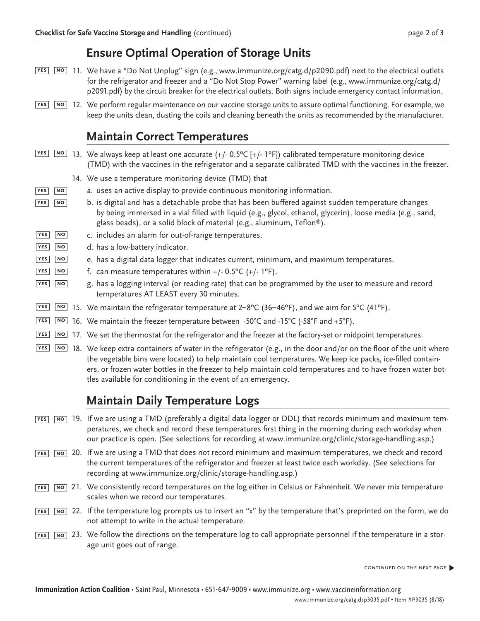#### **Ensure Optimal Operation of Storage Units**

- 11. We have a "Do Not Unplug" sign (e.g., [www.immunize.org/catg.d/p](http://www.immunize.org/catg.d/p2090.pdf)2090.pdf) next to the electrical outlets **yes no** for the refrigerator and freezer and a "Do Not Stop Power" warning label (e.g., [www.immunize.org/catg.d/](http://www.immunize.org/catg.d/p2091.pdf) [p2091.pdf\)](http://www.immunize.org/catg.d/p2091.pdf) by the circuit breaker for the electrical outlets. Both signs include emergency contact information.
- 12. We perform regular maintenance on our vaccine storage units to assure optimal functioning. For example, we **yes no** keep the units clean, dusting the coils and cleaning beneath the units as recommended by the manufacturer.

#### **Maintain Correct Temperatures**

| YES<br>NO               | 13. We always keep at least one accurate $(+/- 0.5^{\circ}C (+/- 1^{\circ}F))$ calibrated temperature monitoring device<br>(TMD) with the vaccines in the refrigerator and a separate calibrated TMD with the vaccines in the freezer.                                                                                                            |
|-------------------------|---------------------------------------------------------------------------------------------------------------------------------------------------------------------------------------------------------------------------------------------------------------------------------------------------------------------------------------------------|
|                         | 14. We use a temperature monitoring device (TMD) that                                                                                                                                                                                                                                                                                             |
| <b>YES</b><br><b>NO</b> | a. uses an active display to provide continuous monitoring information.                                                                                                                                                                                                                                                                           |
| <b>YES</b><br> NO       | b. is digital and has a detachable probe that has been buffered against sudden temperature changes<br>by being immersed in a vial filled with liquid (e.g., glycol, ethanol, glycerin), loose media (e.g., sand,<br>glass beads), or a solid block of material (e.g., aluminum, Teflon®).                                                         |
| YES<br>NO.              | c. includes an alarm for out-of-range temperatures.                                                                                                                                                                                                                                                                                               |
| <b>YES</b><br><b>NO</b> | d. has a low-battery indicator.                                                                                                                                                                                                                                                                                                                   |
| <b>YES</b><br><b>NO</b> | e. has a digital data logger that indicates current, minimum, and maximum temperatures.                                                                                                                                                                                                                                                           |
| <b>YES</b><br><b>NO</b> | f. can measure temperatures within $+/- 0.5^{\circ}C (+/- 1^{\circ}F)$ .                                                                                                                                                                                                                                                                          |
| <b>YES</b><br>NO        | g. has a logging interval (or reading rate) that can be programmed by the user to measure and record<br>temperatures AT LEAST every 30 minutes.                                                                                                                                                                                                   |
| <b>YES</b><br>NO        | 15. We maintain the refrigerator temperature at $2-8^{\circ}C$ (36-46°F), and we aim for 5°C (41°F).                                                                                                                                                                                                                                              |
| YES<br><b>NO</b>        | 16. We maintain the freezer temperature between $-50^{\circ}$ C and $-15^{\circ}$ C ( $-58^{\circ}$ F and $+5^{\circ}$ F).                                                                                                                                                                                                                        |
| YES<br>NO               | 17. We set the thermostat for the refrigerator and the freezer at the factory-set or midpoint temperatures.                                                                                                                                                                                                                                       |
| YES<br>$N$ O            | 18. We keep extra containers of water in the refrigerator (e.g., in the door and/or on the floor of the unit where<br>the vegetable bins were located) to help maintain cool temperatures. We keep ice packs, ice-filled contain-<br>ers, or frozen water bottles in the freezer to help maintain cold temperatures and to have frozen water bot- |

# **Maintain Daily Temperature Logs**

tles available for conditioning in the event of an emergency.

- 19. If we are using a TMD (preferably a digital data logger or DDL) that records minimum and maximum tem-**yes no** peratures, we check and record these temperatures first thing in the morning during each workday when our practice is open. (See selections for recording at www.immunize.org/clinic/storage-handling.asp.)
- 20. If we are using a TMD that does not record minimum and maximum temperatures, we check and record **yes no** the current temperatures of the refrigerator and freezer at least twice each workday. (See selections for recording at www.immunize.org/clinic/storage-handling.asp.)
- 21. We consistently record temperatures on the log either in Celsius or Fahrenheit. We never mix temperature **yes no** scales when we record our temperatures.
- 22. If the temperature log prompts us to insert an "x" by the temperature that's preprinted on the form, we do **yes no** not attempt to write in the actual temperature.
- 23. We follow the directions on the temperature log to call appropriate personnel if the temperature in a stor-**yes no** age unit goes out of range.

continued on the next page�